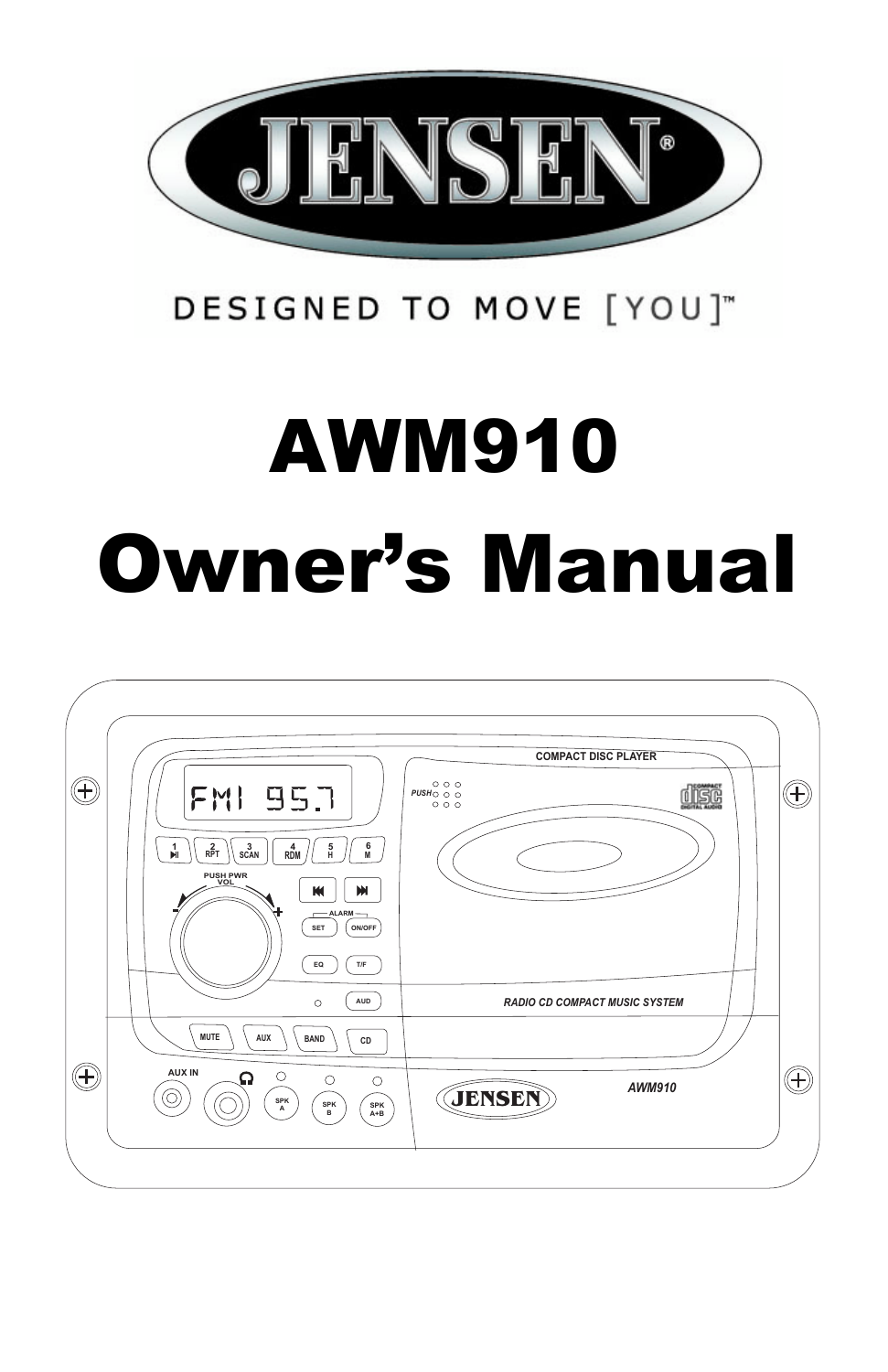

## DESIGNED TO MOVE [YOU]"

# AWM910 Owner's Manual

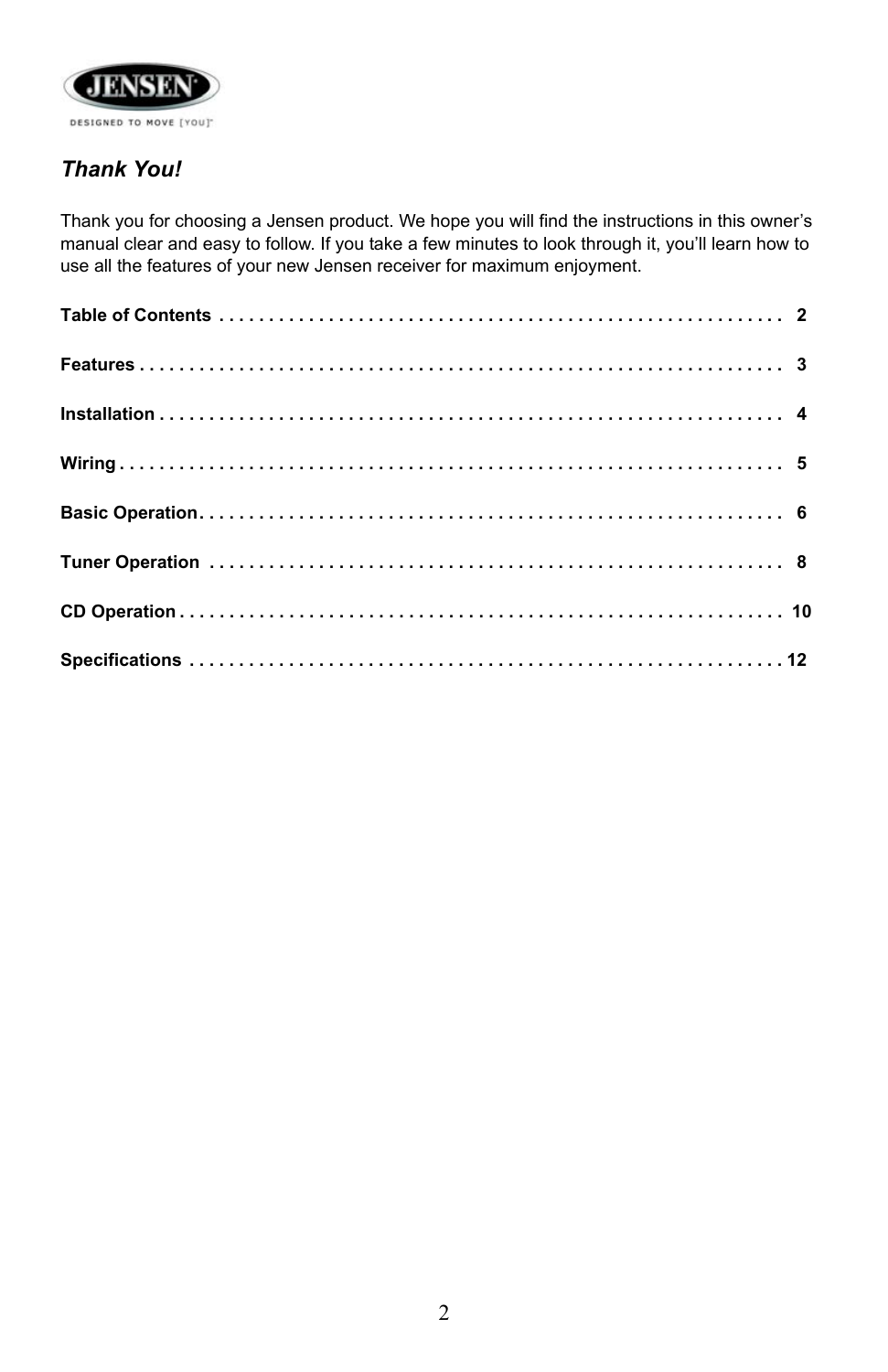

## *Thank You!*

Thank you for choosing a Jensen product. We hope you will find the instructions in this owner's manual clear and easy to follow. If you take a few minutes to look through it, you'll learn how to use all the features of your new Jensen receiver for maximum enjoyment.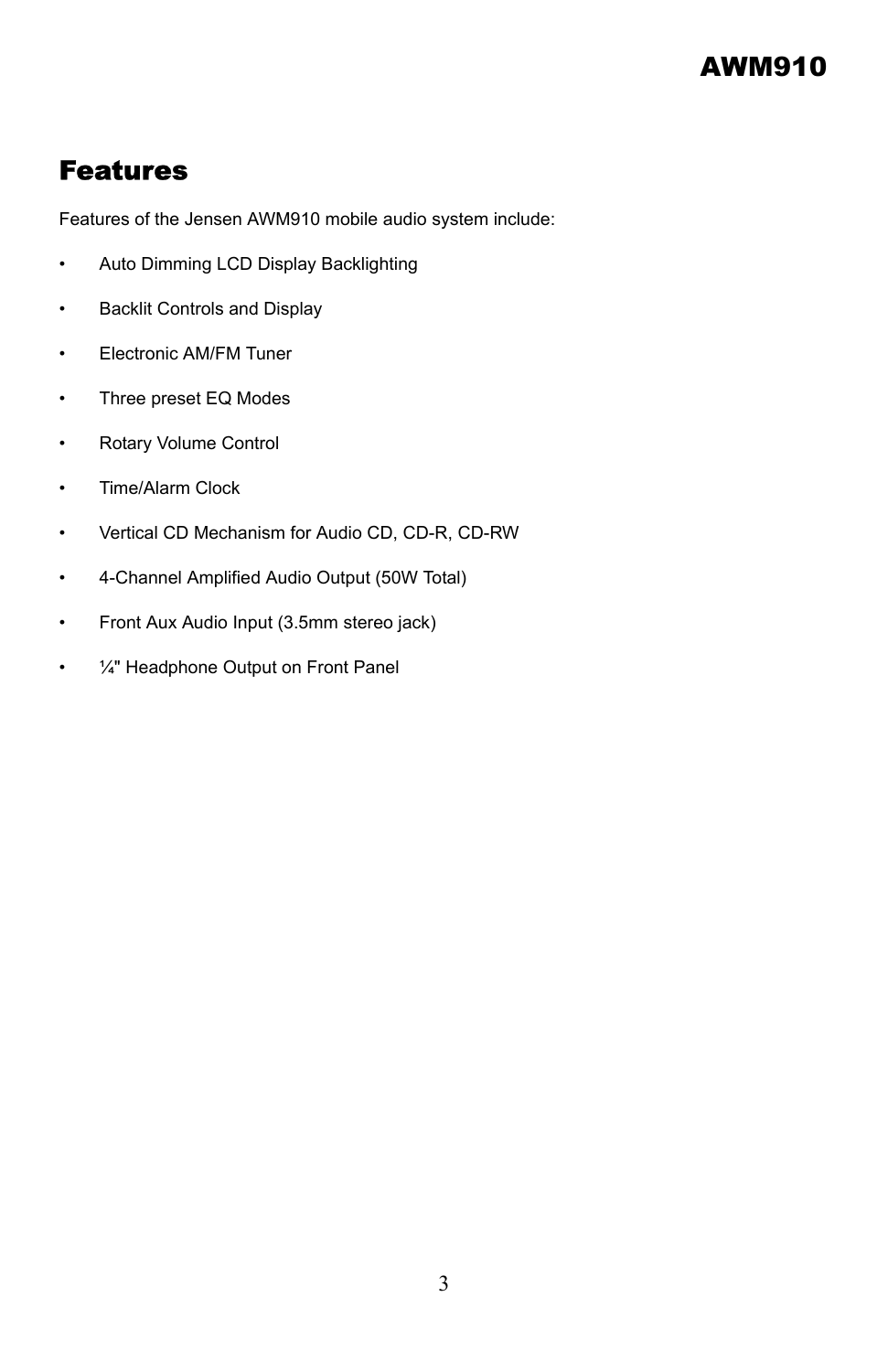## Features

Features of the Jensen AWM910 mobile audio system include:

- Auto Dimming LCD Display Backlighting
- Backlit Controls and Display
- Electronic AM/FM Tuner
- Three preset EQ Modes
- Rotary Volume Control
- Time/Alarm Clock
- Vertical CD Mechanism for Audio CD, CD-R, CD-RW
- 4-Channel Amplified Audio Output (50W Total)
- Front Aux Audio Input (3.5mm stereo jack)
- 1/4" Headphone Output on Front Panel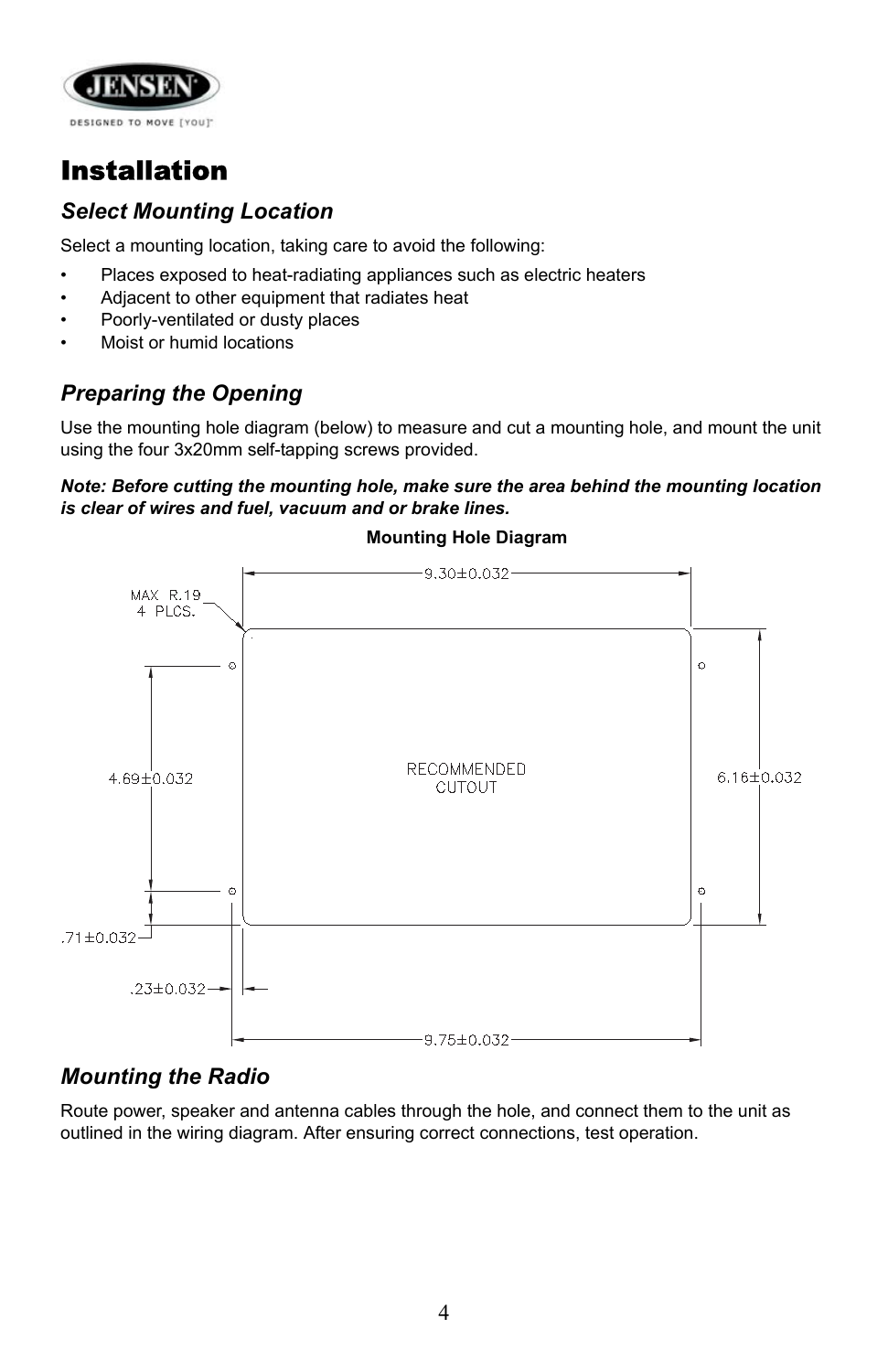

## Installation

## *Select Mounting Location*

Select a mounting location, taking care to avoid the following:

- Places exposed to heat-radiating appliances such as electric heaters
- Adjacent to other equipment that radiates heat
- Poorly-ventilated or dusty places
- Moist or humid locations

## *Preparing the Opening*

Use the mounting hole diagram (below) to measure and cut a mounting hole, and mount the unit using the four 3x20mm self-tapping screws provided.

#### *Note: Before cutting the mounting hole, make sure the area behind the mounting location is clear of wires and fuel, vacuum and or brake lines.*



#### **Mounting Hole Diagram**

#### *Mounting the Radio*

Route power, speaker and antenna cables through the hole, and connect them to the unit as outlined in the wiring diagram. After ensuring correct connections, test operation.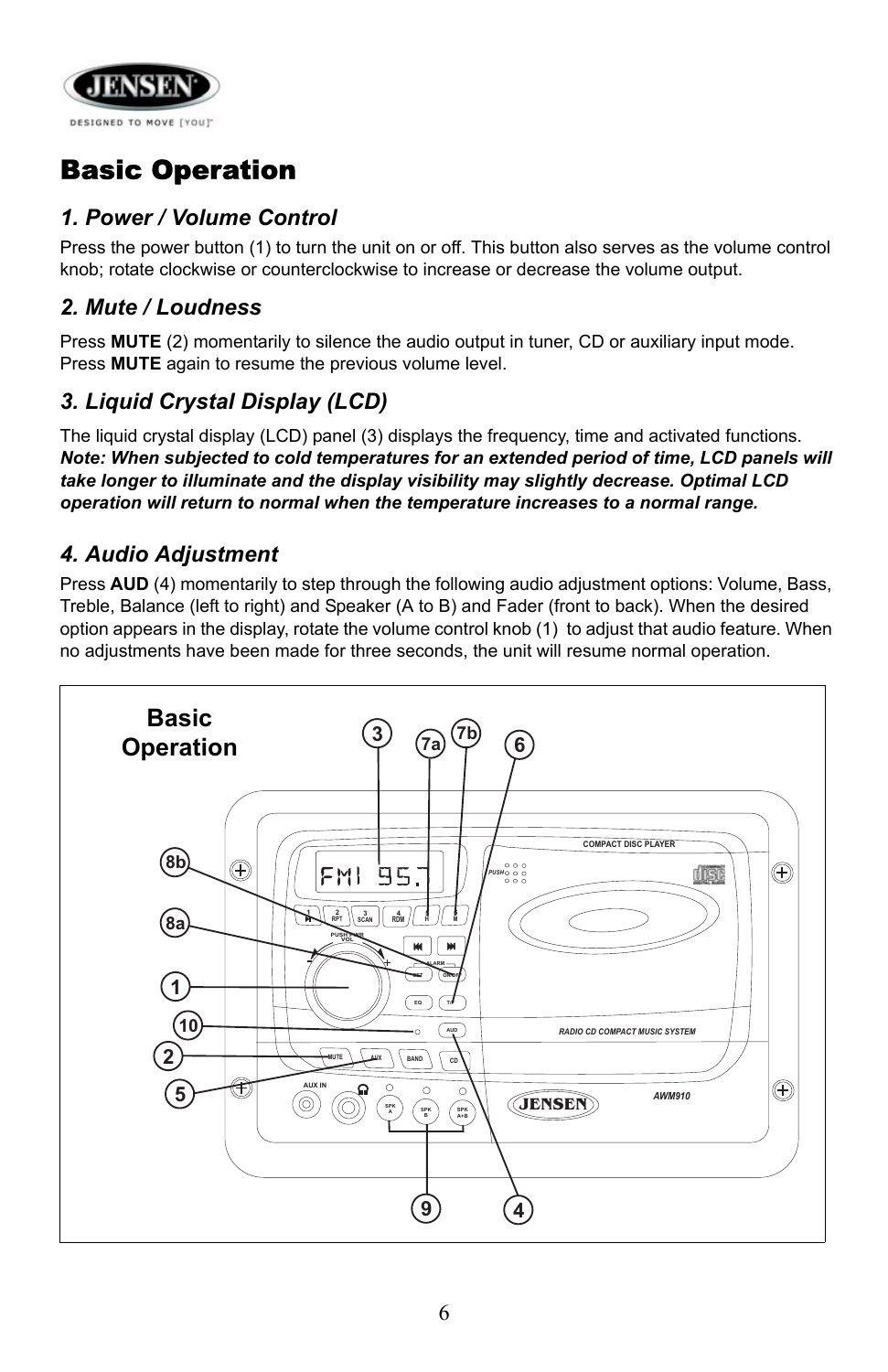

## Basic Operation

### *1. Power / Volume Control*

Press the power button (1) to turn the unit on or off. This button also serves as the volume control knob; rotate clockwise or counterclockwise to increase or decrease the volume output.

#### *2. Mute / Loudness*

Press **MUTE** (2) momentarily to silence the audio output in tuner, CD or auxiliary input mode. Press **MUTE** again to resume the previous volume level.

## *3. Liquid Crystal Display (LCD)*

The liquid crystal display (LCD) panel (3) displays the frequency, time and activated functions. *Note: When subjected to cold temperatures for an extended period of time, LCD panels will take longer to illuminate and the display visibility may slightly decrease. Optimal LCD operation will return to normal when the temperature increases to a normal range.*

#### *4. Audio Adjustment*

Press **AUD** (4) momentarily to step through the following audio adjustment options: Volume, Bass, Treble, Balance (left to right) and Speaker (A to B) and Fader (front to back). When the desired option appears in the display, rotate the volume control knob (1) to adjust that audio feature. When no adjustments have been made for three seconds, the unit will resume normal operation.

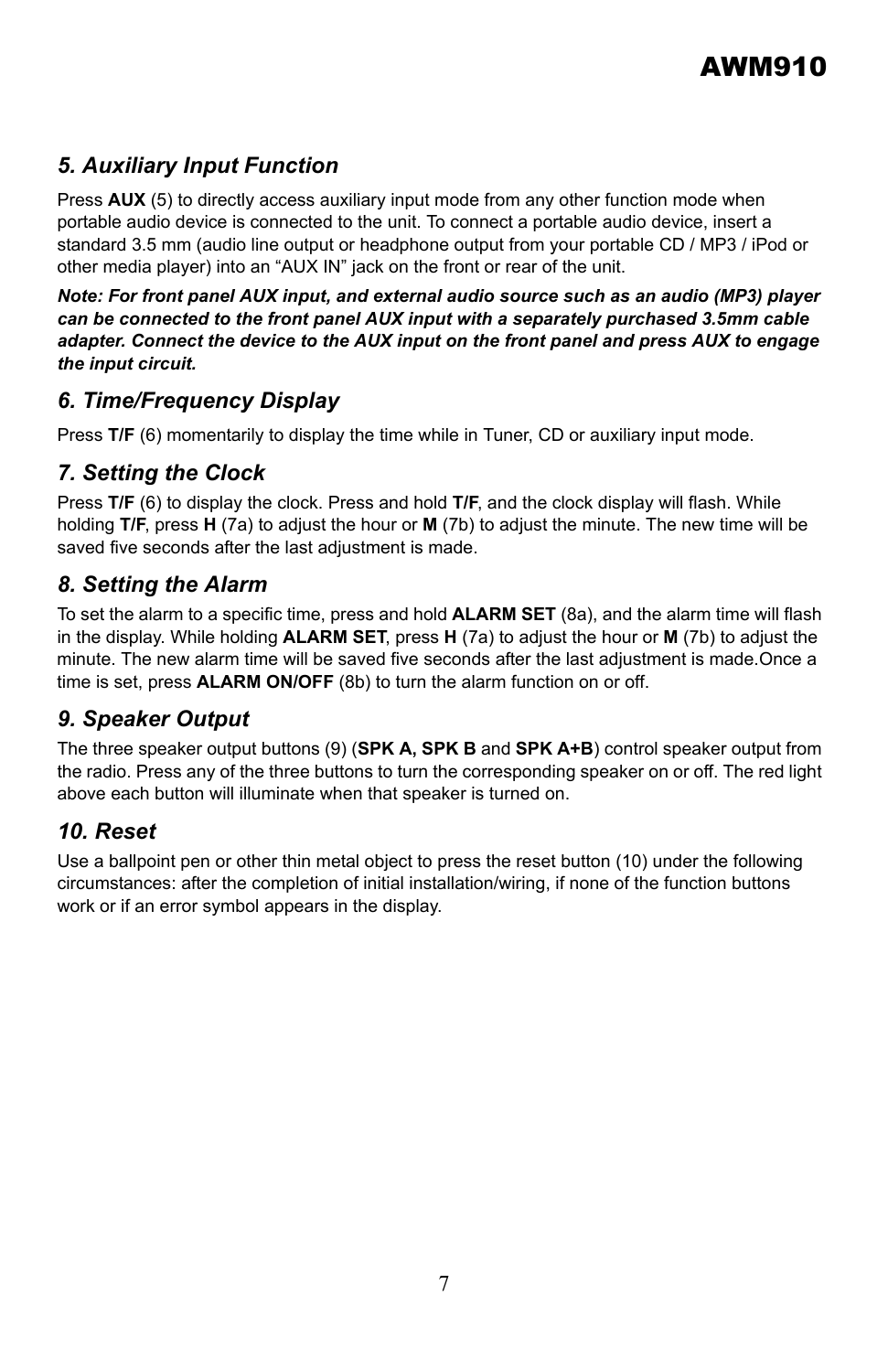## *5. Auxiliary Input Function*

Press **AUX** (5) to directly access auxiliary input mode from any other function mode when portable audio device is connected to the unit. To connect a portable audio device, insert a standard 3.5 mm (audio line output or headphone output from your portable CD / MP3 / iPod or other media player) into an "AUX IN" jack on the front or rear of the unit.

*Note: For front panel AUX input, and external audio source such as an audio (MP3) player can be connected to the front panel AUX input with a separately purchased 3.5mm cable adapter. Connect the device to the AUX input on the front panel and press AUX to engage the input circuit.*

#### *6. Time/Frequency Display*

Press T/F (6) momentarily to display the time while in Tuner, CD or auxiliary input mode.

#### *7. Setting the Clock*

Press **T/F** (6) to display the clock. Press and hold **T/F**, and the clock display will flash. While holding **T/F**, press **H** (7a) to adjust the hour or **M** (7b) to adjust the minute. The new time will be saved five seconds after the last adjustment is made.

#### *8. Setting the Alarm*

To set the alarm to a specific time, press and hold **ALARM SET** (8a), and the alarm time will flash in the display. While holding **ALARM SET**, press **H** (7a) to adjust the hour or **M** (7b) to adjust the minute. The new alarm time will be saved five seconds after the last adjustment is made.Once a time is set, press **ALARM ON/OFF** (8b) to turn the alarm function on or off.

#### *9. Speaker Output*

The three speaker output buttons (9) (**SPK A, SPK B** and **SPK A+B**) control speaker output from the radio. Press any of the three buttons to turn the corresponding speaker on or off. The red light above each button will illuminate when that speaker is turned on.

#### *10. Reset*

Use a ballpoint pen or other thin metal object to press the reset button (10) under the following circumstances: after the completion of initial installation/wiring, if none of the function buttons work or if an error symbol appears in the display.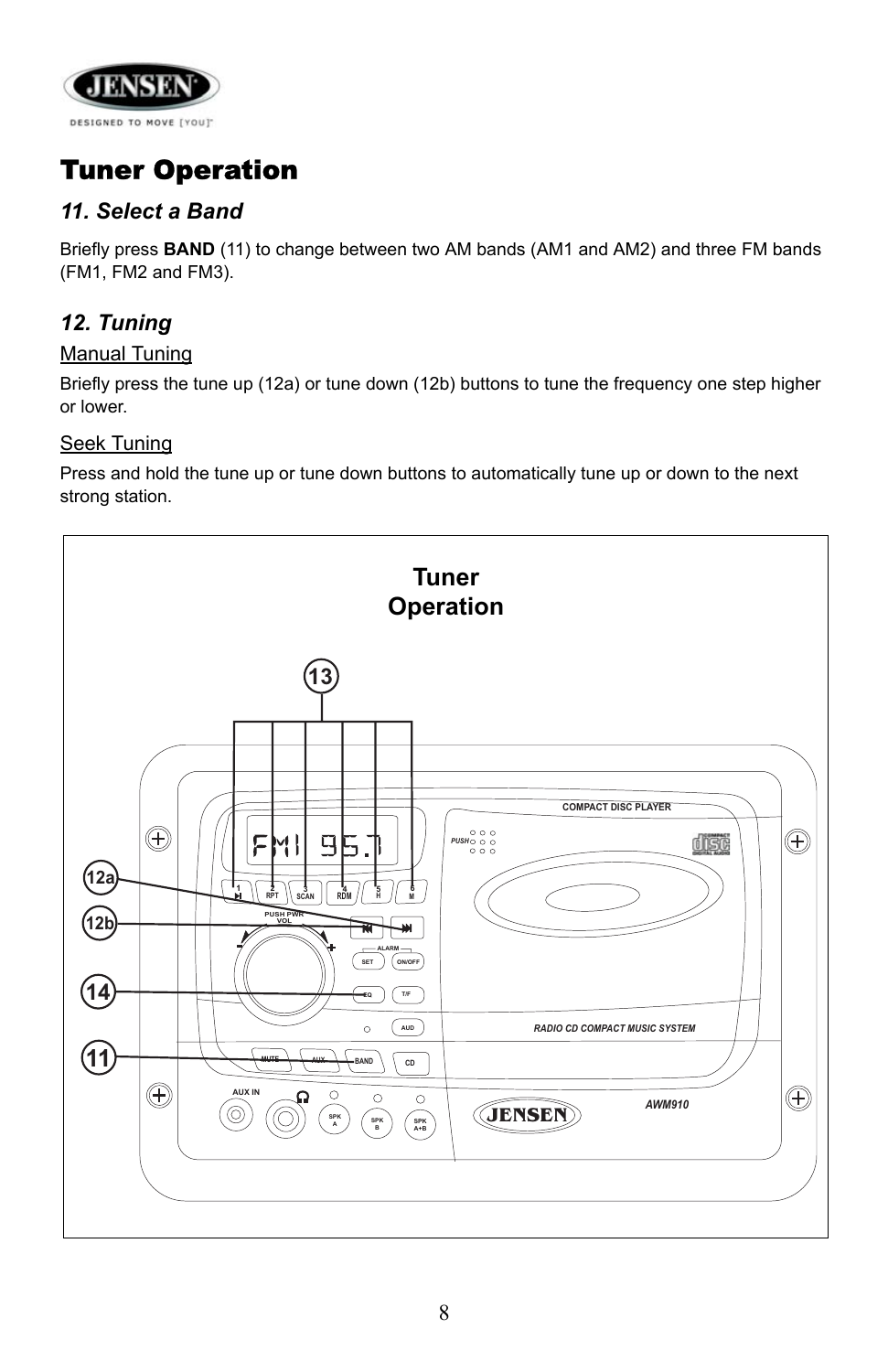

## Tuner Operation

## *11. Select a Band*

Briefly press **BAND** (11) to change between two AM bands (AM1 and AM2) and three FM bands (FM1, FM2 and FM3).

## *12. Tuning*

#### Manual Tuning

Briefly press the tune up (12a) or tune down (12b) buttons to tune the frequency one step higher or lower.

#### Seek Tuning

Press and hold the tune up or tune down buttons to automatically tune up or down to the next strong station.

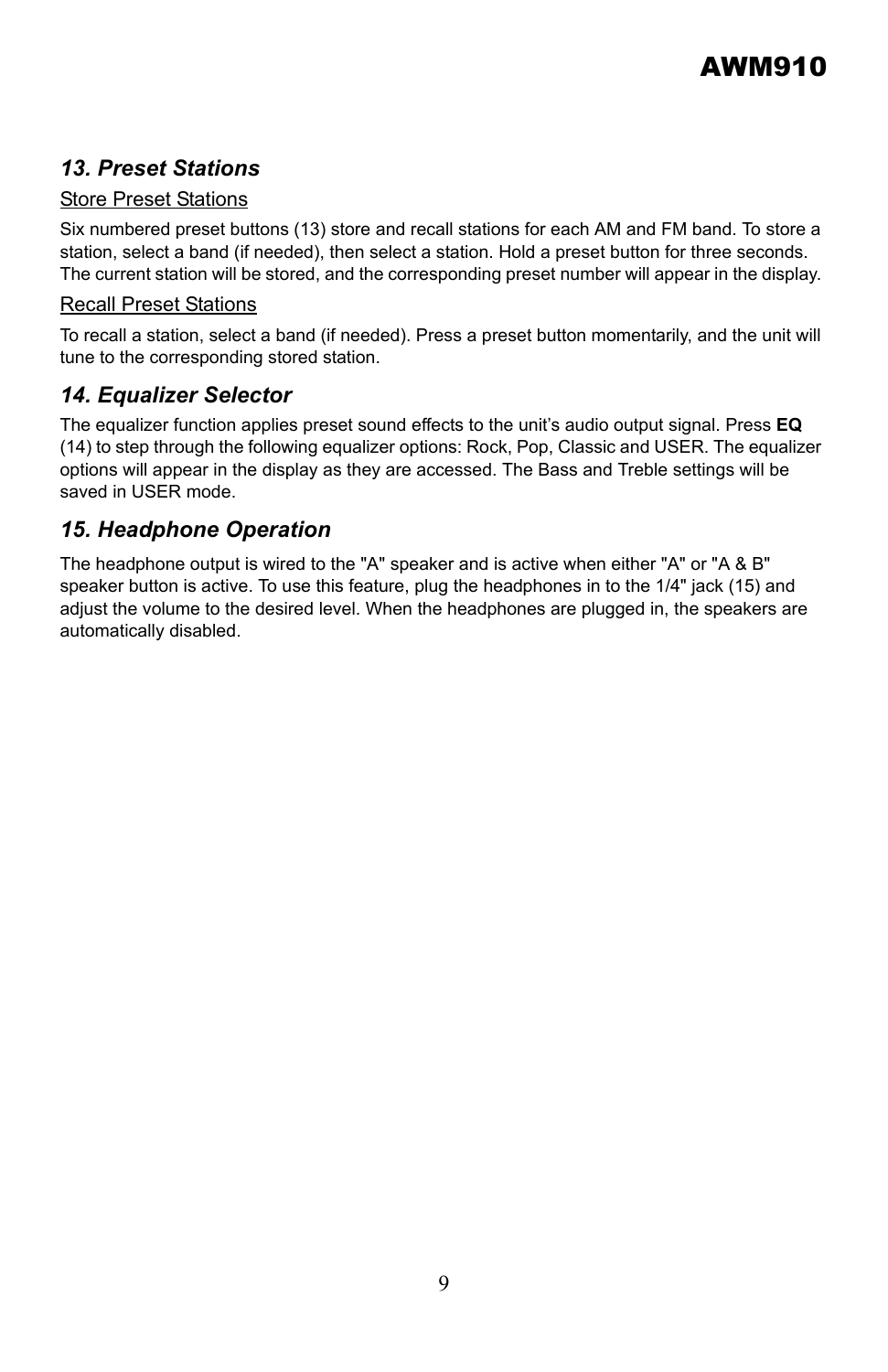#### *13. Preset Stations*

#### Store Preset Stations

Six numbered preset buttons (13) store and recall stations for each AM and FM band. To store a station, select a band (if needed), then select a station. Hold a preset button for three seconds. The current station will be stored, and the corresponding preset number will appear in the display.

#### Recall Preset Stations

To recall a station, select a band (if needed). Press a preset button momentarily, and the unit will tune to the corresponding stored station.

#### *14. Equalizer Selector*

The equalizer function applies preset sound effects to the unit's audio output signal. Press **EQ** (14) to step through the following equalizer options: Rock, Pop, Classic and USER. The equalizer options will appear in the display as they are accessed. The Bass and Treble settings will be saved in USER mode.

#### *15. Headphone Operation*

The headphone output is wired to the "A" speaker and is active when either "A" or "A & B" speaker button is active. To use this feature, plug the headphones in to the 1/4" jack (15) and adjust the volume to the desired level. When the headphones are plugged in, the speakers are automatically disabled.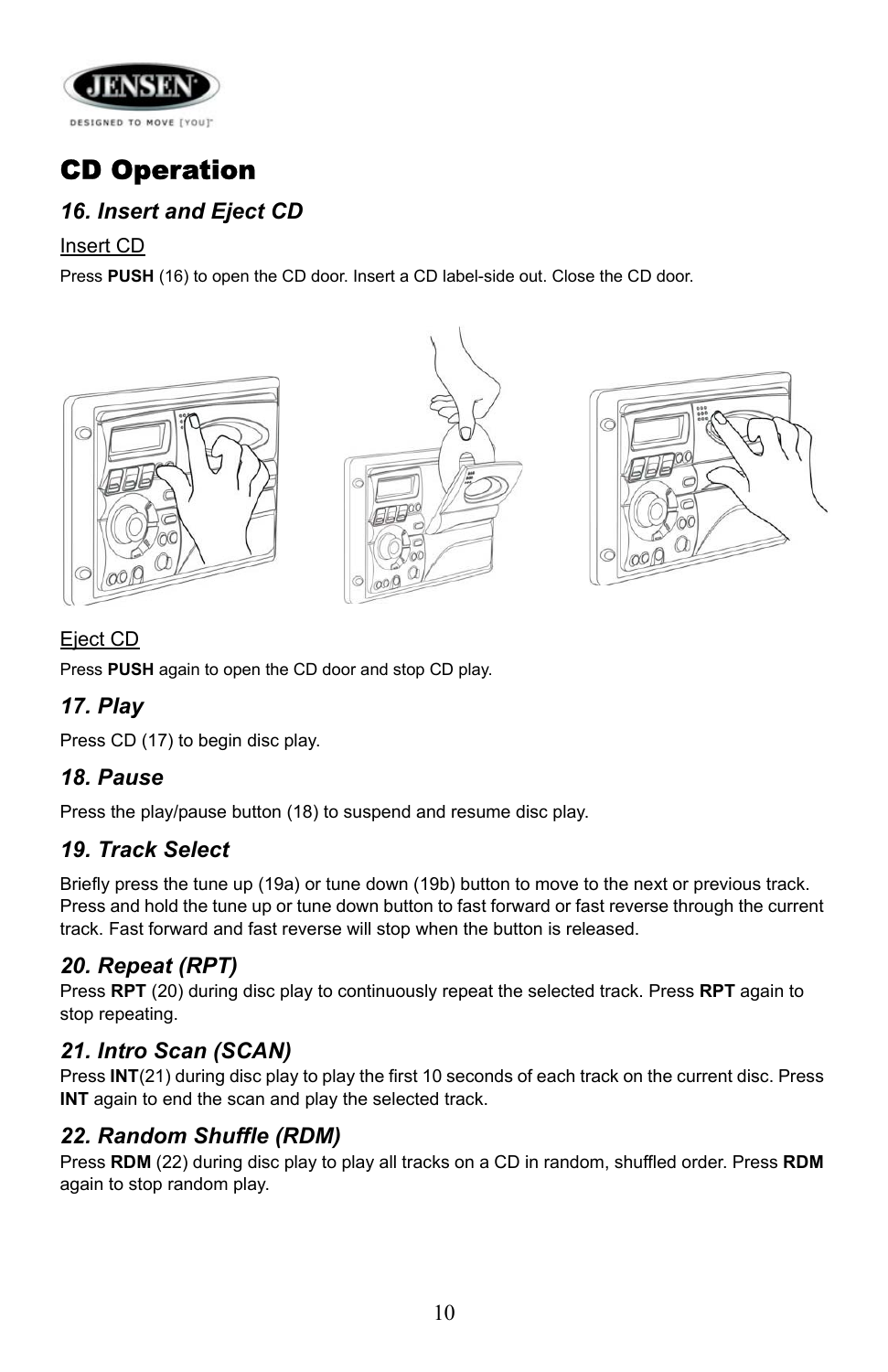

## CD Operation

## *16. Insert and Eject CD*

Insert CD

Press **PUSH** (16) to open the CD door. Insert a CD label-side out. Close the CD door.







#### Eject CD

Press **PUSH** again to open the CD door and stop CD play.

## *17. Play*

Press CD (17) to begin disc play.

#### *18. Pause*

Press the play/pause button (18) to suspend and resume disc play.

#### *19. Track Select*

Briefly press the tune up (19a) or tune down (19b) button to move to the next or previous track. Press and hold the tune up or tune down button to fast forward or fast reverse through the current track. Fast forward and fast reverse will stop when the button is released.

#### *20. Repeat (RPT)*

Press **RPT** (20) during disc play to continuously repeat the selected track. Press **RPT** again to stop repeating.

#### *21. Intro Scan (SCAN)*

Press **INT**(21) during disc play to play the first 10 seconds of each track on the current disc. Press **INT** again to end the scan and play the selected track.

#### *22. Random Shuffle (RDM)*

Press **RDM** (22) during disc play to play all tracks on a CD in random, shuffled order. Press **RDM** again to stop random play.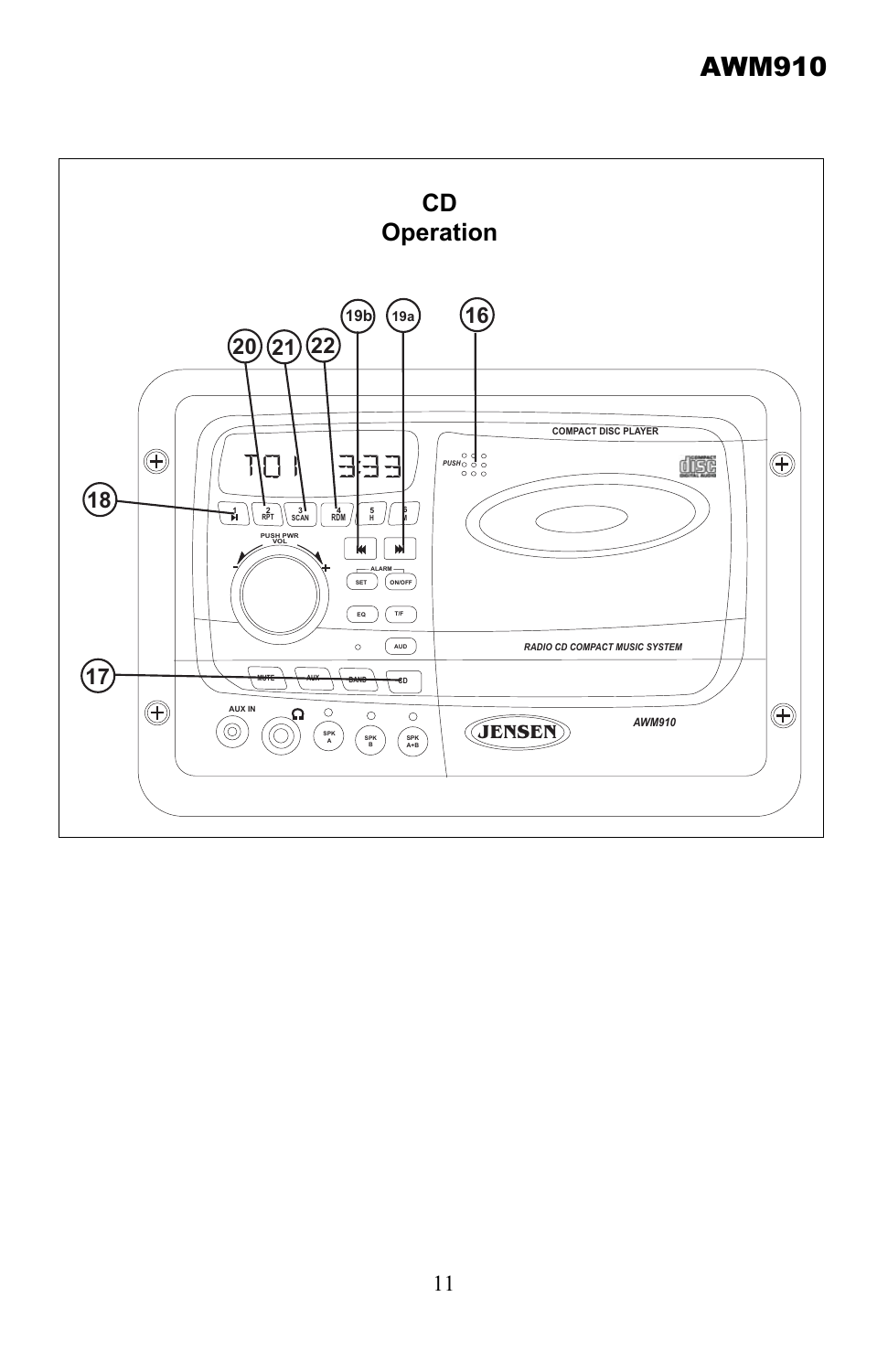## AWM910